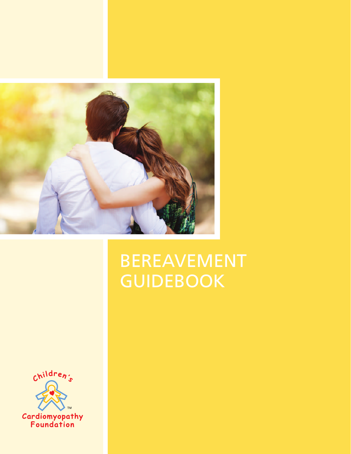

# BEREAVEMENT **GUIDEBOOK**

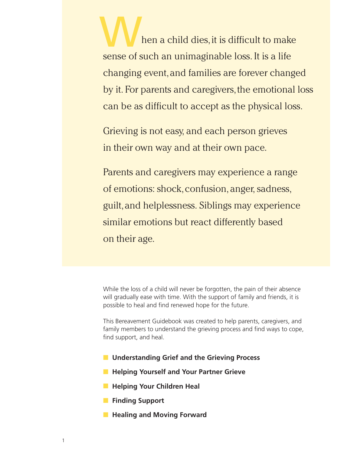hen a child dies, it is difficult to make sense of such an unimaginable loss. It is a life changing event, and families are forever changed by it. For parents and caregivers, the emotional loss can be as difficult to accept as the physical loss. W

Grieving is not easy, and each person grieves in their own way and at their own pace.

Parents and caregivers may experience a range of emotions: shock, confusion, anger, sadness, guilt, and helplessness. Siblings may experience similar emotions but react differently based on their age.

While the loss of a child will never be forgotten, the pain of their absence will gradually ease with time. With the support of family and friends, it is possible to heal and find renewed hope for the future.

This Bereavement Guidebook was created to help parents, caregivers, and family members to understand the grieving process and find ways to cope, find support, and heal.

- Understanding Grief and the Grieving Process
- Helping Yourself and Your Partner Grieve
- **Helping Your Children Heal**
- **Finding Support**
- **Healing and Moving Forward**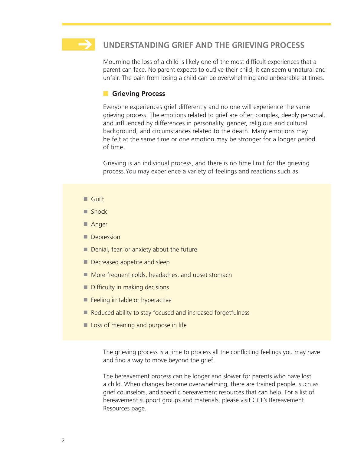

Mourning the loss of a child is likely one of the most difficult experiences that a parent can face. No parent expects to outlive their child; it can seem unnatural and unfair. The pain from losing a child can be overwhelming and unbearable at times.

# **n** Grieving Process

Everyone experiences grief differently and no one will experience the same grieving process. The emotions related to grief are often complex, deeply personal, and influenced by differences in personality, gender, religious and cultural background, and circumstances related to the death. Many emotions may be felt at the same time or one emotion may be stronger for a longer period of time.

Grieving is an individual process, and there is no time limit for the grieving process.You may experience a variety of feelings and reactions such as:

- Guilt
- Shock
- Anger
- Depression
- Denial, fear, or anxiety about the future
- Decreased appetite and sleep
- More frequent colds, headaches, and upset stomach
- Difficulty in making decisions
- Feeling irritable or hyperactive
- Reduced ability to stay focused and increased forgetfulness
- Loss of meaning and purpose in life

The grieving process is a time to process all the conflicting feelings you may have and find a way to move beyond the grief.

The bereavement process can be longer and slower for parents who have lost a child. When changes become overwhelming, there are trained people, such as grief counselors, and specific bereavement resources that can help. For a list of bereavement support groups and materials, please visit CCF's Bereavement Resources page.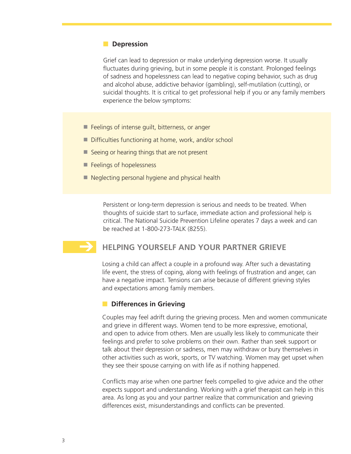# **n** Depression

Grief can lead to depression or make underlying depression worse. It usually fluctuates during grieving, but in some people it is constant. Prolonged feelings of sadness and hopelessness can lead to negative coping behavior, such as drug and alcohol abuse, addictive behavior (gambling), self-mutilation (cutting), or suicidal thoughts. It is critical to get professional help if you or any family members experience the below symptoms:

- Feelings of intense quilt, bitterness, or anger
- Difficulties functioning at home, work, and/or school
- Seeing or hearing things that are not present
- Feelings of hopelessness

 $\rightarrow$ 

■ Neglecting personal hygiene and physical health

Persistent or long-term depression is serious and needs to be treated. When thoughts of suicide start to surface, immediate action and professional help is critical. The National Suicide Prevention Lifeline operates 7 days a week and can be reached at 1-800-273-TALK (8255).

# **HELPING YOURSELF AND YOUR PARTNER GRIEVE**

Losing a child can affect a couple in a profound way. After such a devastating life event, the stress of coping, along with feelings of frustration and anger, can have a negative impact. Tensions can arise because of different grieving styles and expectations among family members.

#### **n** Differences in Grieving

Couples may feel adrift during the grieving process. Men and women communicate and grieve in different ways. Women tend to be more expressive, emotional, and open to advice from others. Men are usually less likely to communicate their feelings and prefer to solve problems on their own. Rather than seek support or talk about their depression or sadness, men may withdraw or bury themselves in other activities such as work, sports, or TV watching. Women may get upset when they see their spouse carrying on with life as if nothing happened.

Conflicts may arise when one partner feels compelled to give advice and the other expects support and understanding. Working with a grief therapist can help in this area. As long as you and your partner realize that communication and grieving differences exist, misunderstandings and conflicts can be prevented.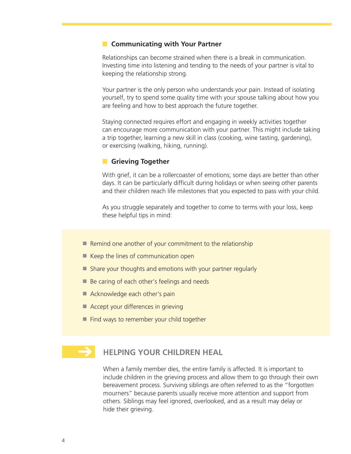## **n** Communicating with Your Partner

Relationships can become strained when there is a break in communication. Investing time into listening and tending to the needs of your partner is vital to keeping the relationship strong.

Your partner is the only person who understands your pain. Instead of isolating yourself, try to spend some quality time with your spouse talking about how you are feeling and how to best approach the future together.

Staying connected requires effort and engaging in weekly activities together can encourage more communication with your partner. This might include taking a trip together, learning a new skill in class (cooking, wine tasting, gardening), or exercising (walking, hiking, running).

## **n** Grieving Together

With grief, it can be a rollercoaster of emotions; some days are better than other days. It can be particularly difficult during holidays or when seeing other parents and their children reach life milestones that you expected to pass with your child.

As you struggle separately and together to come to terms with your loss, keep these helpful tips in mind:

- Remind one another of your commitment to the relationship
- Keep the lines of communication open
- Share your thoughts and emotions with your partner regularly
- Be caring of each other's feelings and needs
- Acknowledge each other's pain
- Accept your differences in grieving
- Find ways to remember your child together

# **HELPING YOUR CHILDREN HEAL**  $\rightarrow$

When a family member dies, the entire family is affected. It is important to include children in the grieving process and allow them to go through their own bereavement process. Surviving siblings are often referred to as the "forgotten mourners" because parents usually receive more attention and support from others. Siblings may feel ignored, overlooked, and as a result may delay or hide their grieving.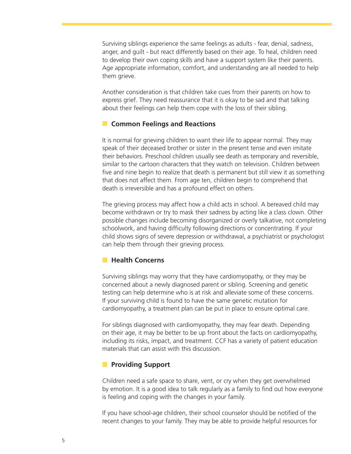Surviving siblings experience the same feelings as adults - fear, denial, sadness, anger, and guilt - but react differently based on their age. To heal, children need to develop their own coping skills and have a support system like their parents. Age appropriate information, comfort, and understanding are all needed to help them grieve.

Another consideration is that children take cues from their parents on how to express grief. They need reassurance that it is okay to be sad and that talking about their feelings can help them cope with the loss of their sibling.

## **n** Common Feelings and Reactions

It is normal for grieving children to want their life to appear normal. They may speak of their deceased brother or sister in the present tense and even imitate their behaviors. Preschool children usually see death as temporary and reversible, similar to the cartoon characters that they watch on television. Children between five and nine begin to realize that death is permanent but still view it as something that does not affect them. From age ten, children begin to comprehend that death is irreversible and has a profound effect on others.

The grieving process may affect how a child acts in school. A bereaved child may become withdrawn or try to mask their sadness by acting like a class clown. Other possible changes include becoming disorganized or overly talkative, not completing schoolwork, and having difficulty following directions or concentrating. If your child shows signs of severe depression or withdrawal, a psychiatrist or psychologist can help them through their grieving process.

# **n** Health Concerns

Surviving siblings may worry that they have cardiomyopathy, or they may be concerned about a newly diagnosed parent or sibling. Screening and genetic testing can help determine who is at risk and alleviate some of these concerns. If your surviving child is found to have the same genetic mutation for cardiomyopathy, a treatment plan can be put in place to ensure optimal care.

For siblings diagnosed with cardiomyopathy, they may fear death. Depending on their age, it may be better to be up front about the facts on cardiomyopathy, including its risks, impact, and treatment. CCF has a variety of patient education materials that can assist with this discussion.

## **n** Providing Support

Children need a safe space to share, vent, or cry when they get overwhelmed by emotion. It is a good idea to talk regularly as a family to find out how everyone is feeling and coping with the changes in your family.

If you have school-age children, their school counselor should be notified of the recent changes to your family. They may be able to provide helpful resources for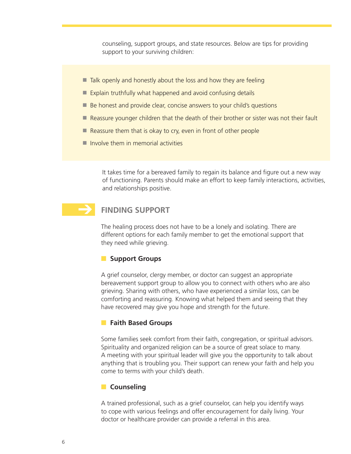counseling, support groups, and state resources. Below are tips for providing support to your surviving children:

- $\blacksquare$  Talk openly and honestly about the loss and how they are feeling
- Explain truthfully what happened and avoid confusing details
- Be honest and provide clear, concise answers to your child's questions
- Reassure younger children that the death of their brother or sister was not their fault
- Reassure them that is okay to cry, even in front of other people
- $\blacksquare$  Involve them in memorial activities

It takes time for a bereaved family to regain its balance and figure out a new way of functioning. Parents should make an effort to keep family interactions, activities, and relationships positive.

# **FINDING SUPPORT**  $\rightarrow$

The healing process does not have to be a lonely and isolating. There are different options for each family member to get the emotional support that they need while grieving.

#### **n** Support Groups

A grief counselor, clergy member, or doctor can suggest an appropriate bereavement support group to allow you to connect with others who are also grieving. Sharing with others, who have experienced a similar loss, can be comforting and reassuring. Knowing what helped them and seeing that they have recovered may give you hope and strength for the future.

#### **n** Faith Based Groups

Some families seek comfort from their faith, congregation, or spiritual advisors. Spirituality and organized religion can be a source of great solace to many. A meeting with your spiritual leader will give you the opportunity to talk about anything that is troubling you. Their support can renew your faith and help you come to terms with your child's death.

#### **n** Counseling

A trained professional, such as a grief counselor, can help you identify ways to cope with various feelings and offer encouragement for daily living. Your doctor or healthcare provider can provide a referral in this area.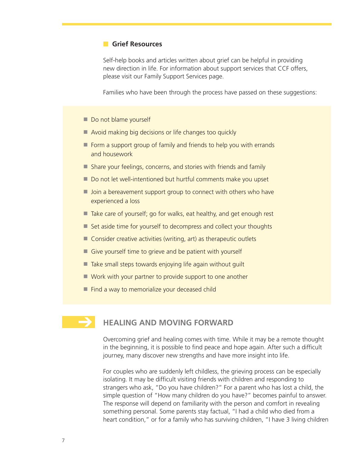# **n** Grief Resources

Self-help books and articles written about grief can be helpful in providing new direction in life. For information about support services that CCF offers, please visit our Family Support Services page.

Families who have been through the process have passed on these suggestions:

- Do not blame yourself
- Avoid making big decisions or life changes too quickly
- Form a support group of family and friends to help you with errands and housework
- Share your feelings, concerns, and stories with friends and family
- Do not let well-intentioned but hurtful comments make you upset
- Join a bereavement support group to connect with others who have experienced a loss
- Take care of yourself; go for walks, eat healthy, and get enough rest
- Set aside time for yourself to decompress and collect your thoughts
- $\blacksquare$  Consider creative activities (writing, art) as therapeutic outlets
- Give yourself time to grieve and be patient with yourself
- Take small steps towards enjoying life again without guilt
- Work with your partner to provide support to one another
- Find a way to memorialize your deceased child

# **HEALING AND MOVING FORWARD**  $\rightarrow$

Overcoming grief and healing comes with time. While it may be a remote thought in the beginning, it is possible to find peace and hope again. After such a difficult journey, many discover new strengths and have more insight into life.

For couples who are suddenly left childless, the grieving process can be especially isolating. It may be difficult visiting friends with children and responding to strangers who ask, "Do you have children?" For a parent who has lost a child, the simple question of "How many children do you have?" becomes painful to answer. The response will depend on familiarity with the person and comfort in revealing something personal. Some parents stay factual, "I had a child who died from a heart condition," or for a family who has surviving children, "I have 3 living children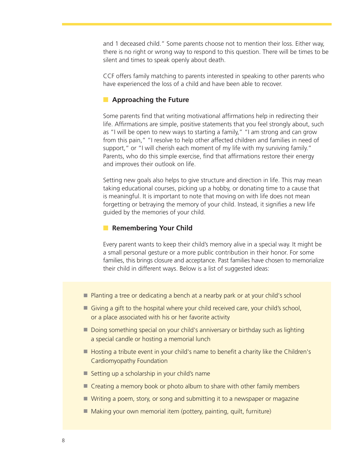and 1 deceased child." Some parents choose not to mention their loss. Either way, there is no right or wrong way to respond to this question. There will be times to be silent and times to speak openly about death.

CCF offers family matching to parents interested in speaking to other parents who have experienced the loss of a child and have been able to recover.

# **n** Approaching the Future

Some parents find that writing motivational affirmations help in redirecting their life. Affirmations are simple, positive statements that you feel strongly about, such as "I will be open to new ways to starting a family," "I am strong and can grow from this pain," "I resolve to help other affected children and families in need of support," or "I will cherish each moment of my life with my surviving family." Parents, who do this simple exercise, find that affirmations restore their energy and improves their outlook on life.

Setting new goals also helps to give structure and direction in life. This may mean taking educational courses, picking up a hobby, or donating time to a cause that is meaningful. It is important to note that moving on with life does not mean forgetting or betraying the memory of your child. Instead, it signifies a new life guided by the memories of your child.

#### **n** Remembering Your Child

Every parent wants to keep their child's memory alive in a special way. It might be a small personal gesture or a more public contribution in their honor. For some families, this brings closure and acceptance. Past families have chosen to memorialize their child in different ways. Below is a list of suggested ideas:

- Planting a tree or dedicating a bench at a nearby park or at your child's school
- Giving a gift to the hospital where your child received care, your child's school, or a place associated with his or her favorite activity
- Doing something special on your child's anniversary or birthday such as lighting a special candle or hosting a memorial lunch
- Hosting a tribute event in your child's name to benefit a charity like the Children's Cardiomyopathy Foundation
- Setting up a scholarship in your child's name
- Creating a memory book or photo album to share with other family members
- Writing a poem, story, or song and submitting it to a newspaper or magazine
- Making your own memorial item (pottery, painting, quilt, furniture)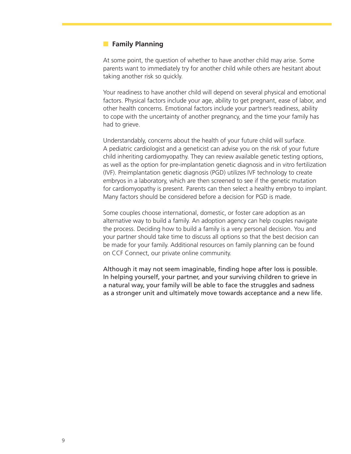# **n** Family Planning

At some point, the question of whether to have another child may arise. Some parents want to immediately try for another child while others are hesitant about taking another risk so quickly.

Your readiness to have another child will depend on several physical and emotional factors. Physical factors include your age, ability to get pregnant, ease of labor, and other health concerns. Emotional factors include your partner's readiness, ability to cope with the uncertainty of another pregnancy, and the time your family has had to grieve.

Understandably, concerns about the health of your future child will surface. A pediatric cardiologist and a geneticist can advise you on the risk of your future child inheriting cardiomyopathy. They can review available genetic testing options, as well as the option for pre-implantation genetic diagnosis and in vitro fertilization (IVF). Preimplantation genetic diagnosis (PGD) utilizes IVF technology to create embryos in a laboratory, which are then screened to see if the genetic mutation for cardiomyopathy is present. Parents can then select a healthy embryo to implant. Many factors should be considered before a decision for PGD is made.

Some couples choose international, domestic, or foster care adoption as an alternative way to build a family. An adoption agency can help couples navigate the process. Deciding how to build a family is a very personal decision. You and your partner should take time to discuss all options so that the best decision can be made for your family. Additional resources on family planning can be found on CCF Connect, our private online community.

Although it may not seem imaginable, finding hope after loss is possible. In helping yourself, your partner, and your surviving children to grieve in a natural way, your family will be able to face the struggles and sadness as a stronger unit and ultimately move towards acceptance and a new life.